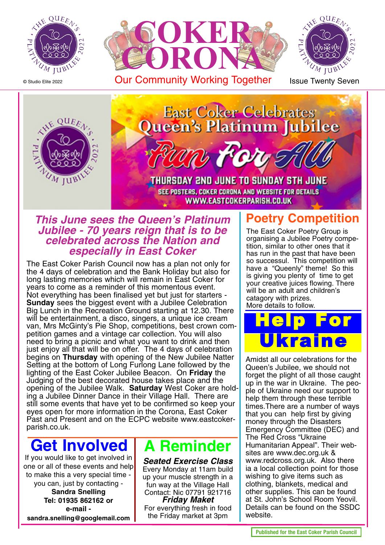

© Studio Elite 2022



Our Community Working Together Issue Twenty Seven





#### **This June sees the Queen's Platinum Jubilee - 70 years reign that is to be celebrated across the Nation and especially in East Coker**

The East Coker Parish Council now has a plan not only for the 4 days of celebration and the Bank Holiday but also for long lasting memories which will remain in East Coker for years to come as a reminder of this momentous event. Not everything has been finalised yet but just for starters - **Sunday** sees the biggest event with a Jubilee Celebration Big Lunch in the Recreation Ground starting at 12.30. There will be entertainment, a disco, singers, a unique ice cream van, Mrs McGinty's Pie Shop, competitions, best crown competition games and a vintage car collection. You will also need to bring a picnic and what you want to drink and then just enjoy all that will be on offer. The 4 days of celebration begins on **Thursday** with opening of the New Jubilee Natter Setting at the bottom of Long Furlong Lane followed by the lighting of the East Coker Jubilee Beacon. On **Friday** the Judging of the best decorated house takes place and the opening of the Jubilee Walk. **Saturday** West Coker are holding a Jubilee Dinner Dance in their Village Hall. There are still some events that have yet to be confirmed so keep your eyes open for more information in the Corona, East Coker Past and Present and on the ECPC website www.eastcokerparish.co.uk.

## **Get Involved**

If you would like to get involved in one or all of these events and help to make this a very special time -

you can, just by contacting - **Sandra Snelling Tel: 01935 862162 or e-mail sandra.snelling@googlemail.com**

### **A Reminder**

**Seated Exercise Class** Every Monday at 11am build up your muscle strength in a fun way at the Village Hall Contact: Nic 07791 921716 **Friday Maket** For everything fresh in food

the Friday market at 3pm

#### **Poetry Competition**

The East Coker Poetry Group is organising a Jubilee Poetry competition, similar to other ones that it has run in the past that have been so successul. This competition will have a "Queenly" theme! So this is giving you plenty of time to get your creative juices flowing. There will be an adult and children's catagory with prizes. More details to follow.

Help For Ukraine

Amidst all our celebrations for the Queen's Jubilee, we should not forget the plight of all those caught up in the war in Ukraine. The people of Ukraine need our support to help them through these terrible times.There are a number of ways that you can help first by giving money through the Disasters Emergency Committee (DEC) and The Red Cross "Ukraine Humanitarian Appeal". Their websites are www.dec.org.uk & www.redcross.org.uk. Also there ia a local collection point for those wishing to give items such as clothing, blankets, medical and other supplies. This can be found at St. John's School Room Yeovil. Details can be found on the SSDC website.